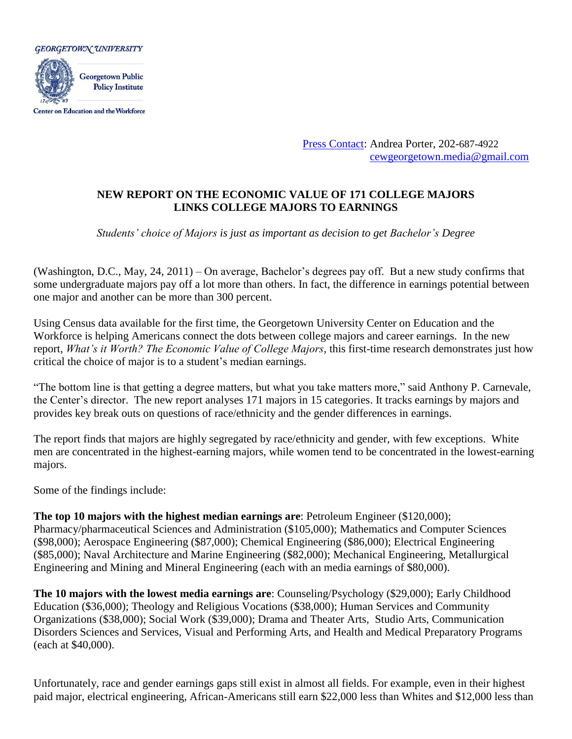

Center on Education and the Workforce

[Press Contact:](http://cew.georgetown.edu/media/contact/) Andrea Porter, 202-687-4922 [cewgeorgetown.media@gmail.com](mailto:cewgeorgetown.media@gmail.com)

## **NEW REPORT ON THE ECONOMIC VALUE OF 171 COLLEGE MAJORS LINKS COLLEGE MAJORS TO EARNINGS**

*Students' choice of Majors is just as important as decision to get Bachelor's Degree*

(Washington, D.C., May, 24, 2011) – On average, Bachelor's degrees pay off. But a new study confirms that some undergraduate majors pay off a lot more than others. In fact, the difference in earnings potential between one major and another can be more than 300 percent.

Using Census data available for the first time, the Georgetown University Center on Education and the Workforce is helping Americans connect the dots between college majors and career earnings. In the new report, *What's it Worth? The Economic Value of College Majors,* this first-time research demonstrates just how critical the choice of major is to a student's median earnings.

"The bottom line is that getting a degree matters, but what you take matters more," said Anthony P. Carnevale, the Center's director. The new report analyses 171 majors in 15 categories. It tracks earnings by majors and provides key break outs on questions of race/ethnicity and the gender differences in earnings.

The report finds that majors are highly segregated by race/ethnicity and gender, with few exceptions. White men are concentrated in the highest-earning majors, while women tend to be concentrated in the lowest-earning majors.

Some of the findings include:

**The top 10 majors with the highest median earnings are**: Petroleum Engineer (\$120,000); Pharmacy/pharmaceutical Sciences and Administration (\$105,000); Mathematics and Computer Sciences (\$98,000); Aerospace Engineering (\$87,000); Chemical Engineering (\$86,000); Electrical Engineering (\$85,000); Naval Architecture and Marine Engineering (\$82,000); Mechanical Engineering, Metallurgical Engineering and Mining and Mineral Engineering (each with an media earnings of \$80,000).

**The 10 majors with the lowest media earnings are**: Counseling/Psychology (\$29,000); Early Childhood Education (\$36,000); Theology and Religious Vocations (\$38,000); Human Services and Community Organizations (\$38,000); Social Work (\$39,000); Drama and Theater Arts, Studio Arts, Communication Disorders Sciences and Services, Visual and Performing Arts, and Health and Medical Preparatory Programs (each at \$40,000).

Unfortunately, race and gender earnings gaps still exist in almost all fields. For example, even in their highest paid major, electrical engineering, African-Americans still earn \$22,000 less than Whites and \$12,000 less than